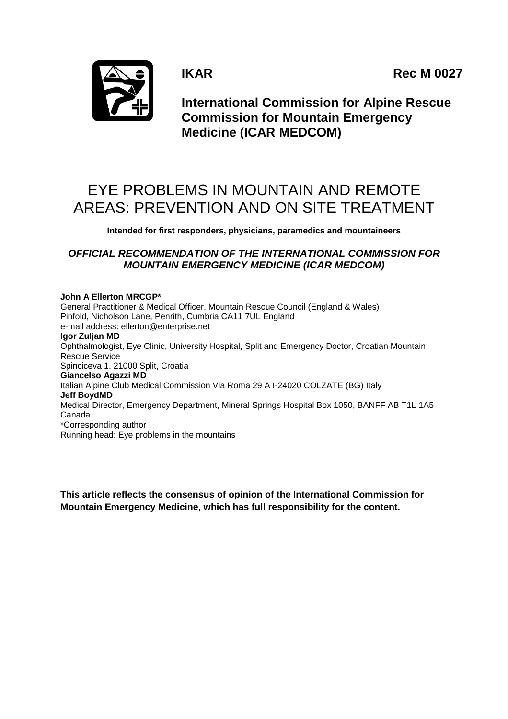**IKAR** Rec M 0027



**International Commission for Alpine Rescue Commission for Mountain Emergency Medicine (ICAR MEDCOM)**

# EYE PROBLEMS IN MOUNTAIN AND REMOTE AREAS: PREVENTION AND ON SITE TREATMENT

**Intended for first responders, physicians, paramedics and mountaineers**

# *OFFICIAL RECOMMENDATION OF THE INTERNATIONAL COMMISSION FOR MOUNTAIN EMERGENCY MEDICINE (ICAR MEDCOM)*

**John A Ellerton MRCGP\*** General Practitioner & Medical Officer, Mountain Rescue Council (England & Wales) Pinfold, Nicholson Lane, Penrith, Cumbria CA11 7UL England e-mail address: [ellerton@enterprise.net](mailto:ellerton@enterprise.net) **Igor Zuljan MD** Ophthalmologist, Eye Clinic, University Hospital, Split and Emergency Doctor, Croatian Mountain Rescue Service Spinciceva 1, 21000 Split, Croatia **Giancelso Agazzi MD** Italian Alpine Club Medical Commission Via Roma 29 A I-24020 COLZATE (BG) Italy **Jeff BoydMD** Medical Director, Emergency Department, Mineral Springs Hospital Box 1050, BANFF AB T1L 1A5 Canada \*Corresponding author Running head: Eye problems in the mountains

**This article reflects the consensus of opinion of the International Commission for Mountain Emergency Medicine, which has full responsibility for the content.**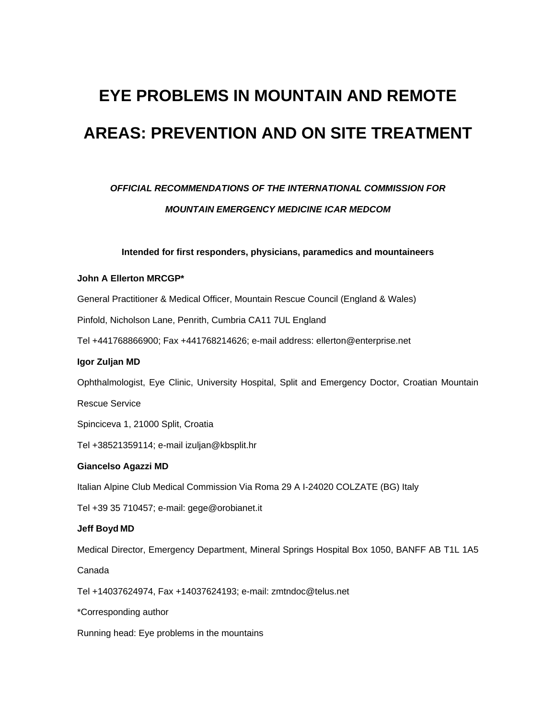# **EYE PROBLEMS IN MOUNTAIN AND REMOTE AREAS: PREVENTION AND ON SITE TREATMENT**

# *OFFICIAL RECOMMENDATIONS OF THE INTERNATIONAL COMMISSION FOR MOUNTAIN EMERGENCY MEDICINE ICAR MEDCOM*

# **Intended for first responders, physicians, paramedics and mountaineers**

# **John A Ellerton MRCGP\***

General Practitioner & Medical Officer, Mountain Rescue Council (England & Wales)

Pinfold, Nicholson Lane, Penrith, Cumbria CA11 7UL England

Tel +441768866900; Fax +441768214626; e-mail address: ellerton@enterprise.net

## **Igor Zuljan MD**

Ophthalmologist, Eye Clinic, University Hospital, Split and Emergency Doctor, Croatian Mountain

Rescue Service

Spinciceva 1, 21000 Split, Croatia

Tel +38521359114; e-mail izuljan@kbsplit.hr

# **Giancelso Agazzi MD**

Italian Alpine Club Medical Commission Via Roma 29 A I-24020 COLZATE (BG) Italy

Tel +39 35 710457; e-mail: gege@orobianet.it

# **Jeff Boyd MD**

Medical Director, Emergency Department, Mineral Springs Hospital Box 1050, BANFF AB T1L 1A5

Canada

Tel +14037624974, Fax +14037624193; e-mail: zmtndoc@telus.net

\*Corresponding author

Running head: Eye problems in the mountains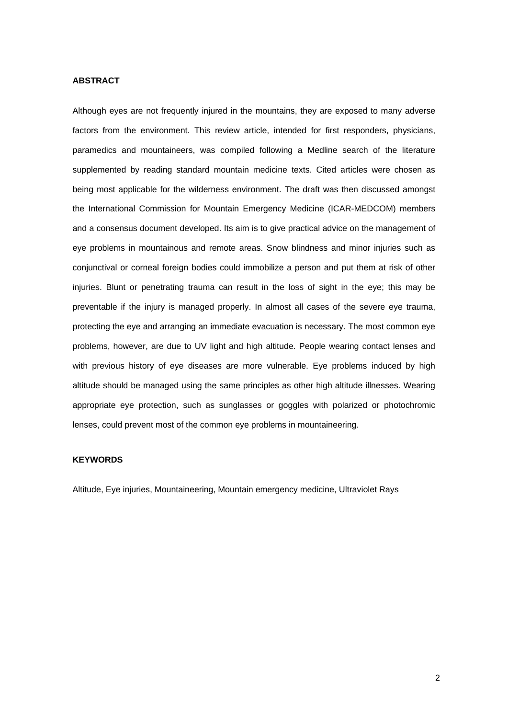# **ABSTRACT**

Although eyes are not frequently injured in the mountains, they are exposed to many adverse factors from the environment. This review article, intended for first responders, physicians, paramedics and mountaineers, was compiled following a Medline search of the literature supplemented by reading standard mountain medicine texts. Cited articles were chosen as being most applicable for the wilderness environment. The draft was then discussed amongst the International Commission for Mountain Emergency Medicine (ICAR-MEDCOM) members and a consensus document developed. Its aim is to give practical advice on the management of eye problems in mountainous and remote areas. Snow blindness and minor injuries such as conjunctival or corneal foreign bodies could immobilize a person and put them at risk of other injuries. Blunt or penetrating trauma can result in the loss of sight in the eye; this may be preventable if the injury is managed properly. In almost all cases of the severe eye trauma, protecting the eye and arranging an immediate evacuation is necessary. The most common eye problems, however, are due to UV light and high altitude. People wearing contact lenses and with previous history of eye diseases are more vulnerable. Eye problems induced by high altitude should be managed using the same principles as other high altitude illnesses. Wearing appropriate eye protection, such as sunglasses or goggles with polarized or photochromic lenses, could prevent most of the common eye problems in mountaineering.

# **KEYWORDS**

Altitude, Eye injuries, Mountaineering, Mountain emergency medicine, Ultraviolet Rays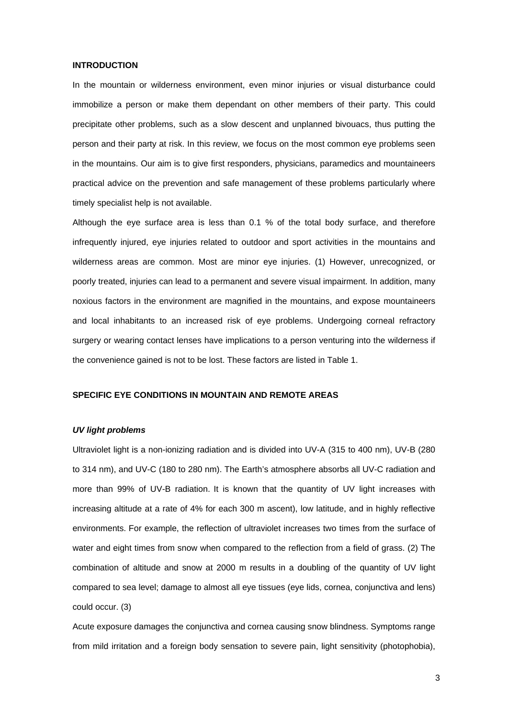#### **INTRODUCTION**

In the mountain or wilderness environment, even minor injuries or visual disturbance could immobilize a person or make them dependant on other members of their party. This could precipitate other problems, such as a slow descent and unplanned bivouacs, thus putting the person and their party at risk. In this review, we focus on the most common eye problems seen in the mountains. Our aim is to give first responders, physicians, paramedics and mountaineers practical advice on the prevention and safe management of these problems particularly where timely specialist help is not available.

Although the eye surface area is less than 0.1 % of the total body surface, and therefore infrequently injured, eye injuries related to outdoor and sport activities in the mountains and wilderness areas are common. Most are minor eye injuries. (1) However, unrecognized, or poorly treated, injuries can lead to a permanent and severe visual impairment. In addition, many noxious factors in the environment are magnified in the mountains, and expose mountaineers and local inhabitants to an increased risk of eye problems. Undergoing corneal refractory surgery or wearing contact lenses have implications to a person venturing into the wilderness if the convenience gained is not to be lost. These factors are listed in Table 1.

# **SPECIFIC EYE CONDITIONS IN MOUNTAIN AND REMOTE AREAS**

# *UV light problems*

Ultraviolet light is a non-ionizing radiation and is divided into UV-A (315 to 400 nm), UV-B (280 to 314 nm), and UV-C (180 to 280 nm). The Earth's atmosphere absorbs all UV-C radiation and more than 99% of UV-B radiation. It is known that the quantity of UV light increases with increasing altitude at a rate of 4% for each 300 m ascent), low latitude, and in highly reflective environments. For example, the reflection of ultraviolet increases two times from the surface of water and eight times from snow when compared to the reflection from a field of grass. (2) The combination of altitude and snow at 2000 m results in a doubling of the quantity of UV light compared to sea level; damage to almost all eye tissues (eye lids, cornea, conjunctiva and lens) could occur. (3)

Acute exposure damages the conjunctiva and cornea causing snow blindness. Symptoms range from mild irritation and a foreign body sensation to severe pain, light sensitivity (photophobia),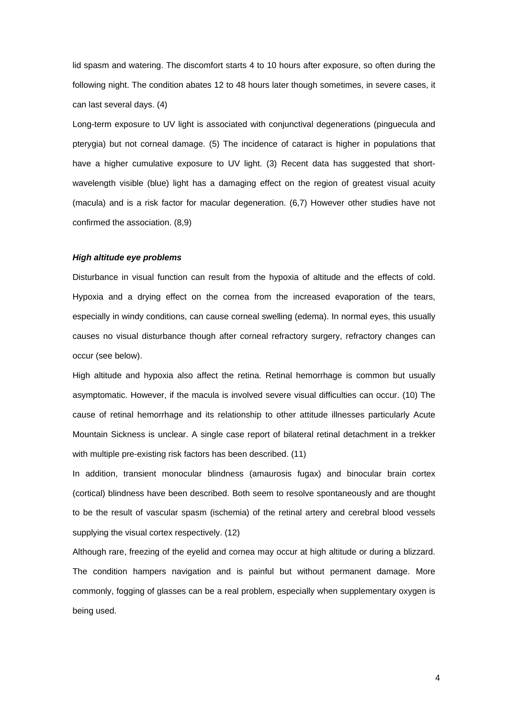lid spasm and watering. The discomfort starts 4 to 10 hours after exposure, so often during the following night. The condition abates 12 to 48 hours later though sometimes, in severe cases, it can last several days. (4)

Long-term exposure to UV light is associated with conjunctival degenerations (pinguecula and pterygia) but not corneal damage. (5) The incidence of cataract is higher in populations that have a higher cumulative exposure to UV light. (3) Recent data has suggested that shortwavelength visible (blue) light has a damaging effect on the region of greatest visual acuity (macula) and is a risk factor for macular degeneration. (6,7) However other studies have not confirmed the association. (8,9)

# *High altitude eye problems*

Disturbance in visual function can result from the hypoxia of altitude and the effects of cold. Hypoxia and a drying effect on the cornea from the increased evaporation of the tears, especially in windy conditions, can cause corneal swelling (edema). In normal eyes, this usually causes no visual disturbance though after corneal refractory surgery, refractory changes can occur (see below).

High altitude and hypoxia also affect the retina. Retinal hemorrhage is common but usually asymptomatic. However, if the macula is involved severe visual difficulties can occur. (10) The cause of retinal hemorrhage and its relationship to other attitude illnesses particularly Acute Mountain Sickness is unclear. A single case report of bilateral retinal detachment in a trekker with multiple pre-existing risk factors has been described. (11)

In addition, transient monocular blindness (amaurosis fugax) and binocular brain cortex (cortical) blindness have been described. Both seem to resolve spontaneously and are thought to be the result of vascular spasm (ischemia) of the retinal artery and cerebral blood vessels supplying the visual cortex respectively. (12)

Although rare, freezing of the eyelid and cornea may occur at high altitude or during a blizzard. The condition hampers navigation and is painful but without permanent damage. More commonly, fogging of glasses can be a real problem, especially when supplementary oxygen is being used.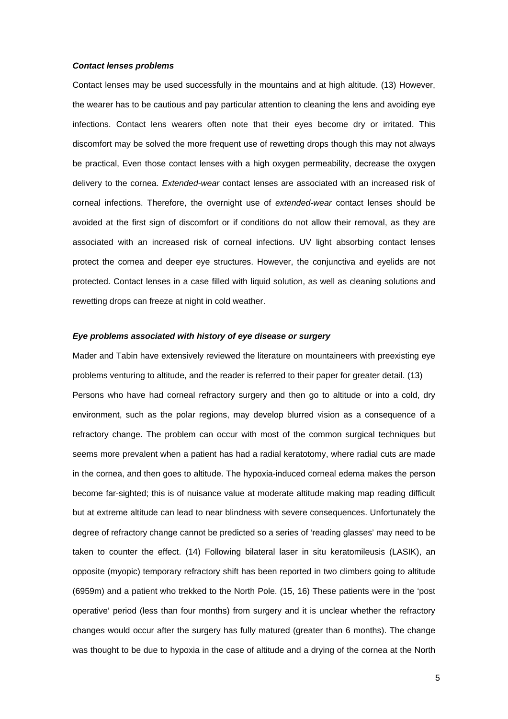## *Contact lenses problems*

Contact lenses may be used successfully in the mountains and at high altitude. (13) However, the wearer has to be cautious and pay particular attention to cleaning the lens and avoiding eye infections. Contact lens wearers often note that their eyes become dry or irritated. This discomfort may be solved the more frequent use of rewetting drops though this may not always be practical, Even those contact lenses with a high oxygen permeability, decrease the oxygen delivery to the cornea. *Extended-wear* contact lenses are associated with an increased risk of corneal infections. Therefore, the overnight use of *extended-wear* contact lenses should be avoided at the first sign of discomfort or if conditions do not allow their removal, as they are associated with an increased risk of corneal infections. UV light absorbing contact lenses protect the cornea and deeper eye structures. However, the conjunctiva and eyelids are not protected. Contact lenses in a case filled with liquid solution, as well as cleaning solutions and rewetting drops can freeze at night in cold weather.

## *Eye problems associated with history of eye disease or surgery*

Mader and Tabin have extensively reviewed the literature on mountaineers with preexisting eye problems venturing to altitude, and the reader is referred to their paper for greater detail. (13) Persons who have had corneal refractory surgery and then go to altitude or into a cold, dry environment, such as the polar regions, may develop blurred vision as a consequence of a refractory change. The problem can occur with most of the common surgical techniques but seems more prevalent when a patient has had a radial keratotomy, where radial cuts are made in the cornea, and then goes to altitude. The hypoxia-induced corneal edema makes the person become far-sighted; this is of nuisance value at moderate altitude making map reading difficult but at extreme altitude can lead to near blindness with severe consequences. Unfortunately the degree of refractory change cannot be predicted so a series of 'reading glasses' may need to be taken to counter the effect. (14) Following bilateral laser in situ keratomileusis (LASIK), an opposite (myopic) temporary refractory shift has been reported in two climbers going to altitude (6959m) and a patient who trekked to the North Pole. (15, 16) These patients were in the 'post operative' period (less than four months) from surgery and it is unclear whether the refractory changes would occur after the surgery has fully matured (greater than 6 months). The change was thought to be due to hypoxia in the case of altitude and a drying of the cornea at the North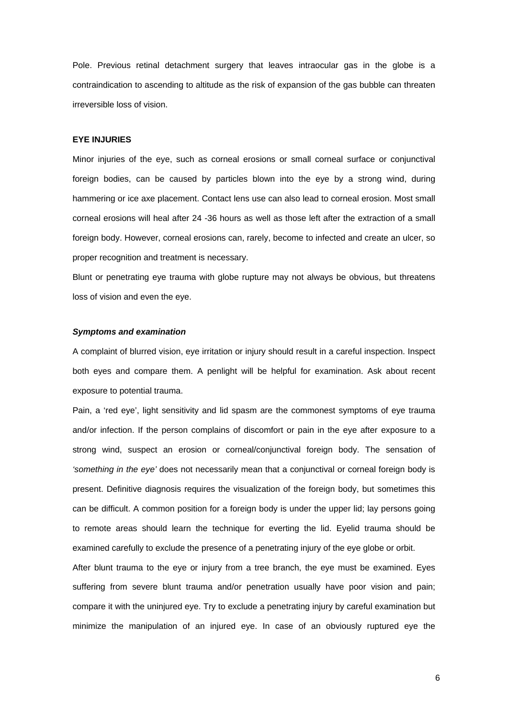Pole. Previous retinal detachment surgery that leaves intraocular gas in the globe is a contraindication to ascending to altitude as the risk of expansion of the gas bubble can threaten irreversible loss of vision.

#### **EYE INJURIES**

Minor injuries of the eye, such as corneal erosions or small corneal surface or conjunctival foreign bodies, can be caused by particles blown into the eye by a strong wind, during hammering or ice axe placement. Contact lens use can also lead to corneal erosion. Most small corneal erosions will heal after 24 -36 hours as well as those left after the extraction of a small foreign body. However, corneal erosions can, rarely, become to infected and create an ulcer, so proper recognition and treatment is necessary.

Blunt or penetrating eye trauma with globe rupture may not always be obvious, but threatens loss of vision and even the eye.

## *Symptoms and examination*

A complaint of blurred vision, eye irritation or injury should result in a careful inspection. Inspect both eyes and compare them. A penlight will be helpful for examination. Ask about recent exposure to potential trauma.

Pain, a 'red eye', light sensitivity and lid spasm are the commonest symptoms of eye trauma and/or infection. If the person complains of discomfort or pain in the eye after exposure to a strong wind, suspect an erosion or corneal/conjunctival foreign body. The sensation of *'something in the eye'* does not necessarily mean that a conjunctival or corneal foreign body is present. Definitive diagnosis requires the visualization of the foreign body, but sometimes this can be difficult. A common position for a foreign body is under the upper lid; lay persons going to remote areas should learn the technique for everting the lid. Eyelid trauma should be examined carefully to exclude the presence of a penetrating injury of the eye globe or orbit.

After blunt trauma to the eye or injury from a tree branch, the eye must be examined. Eyes suffering from severe blunt trauma and/or penetration usually have poor vision and pain; compare it with the uninjured eye. Try to exclude a penetrating injury by careful examination but minimize the manipulation of an injured eye. In case of an obviously ruptured eye the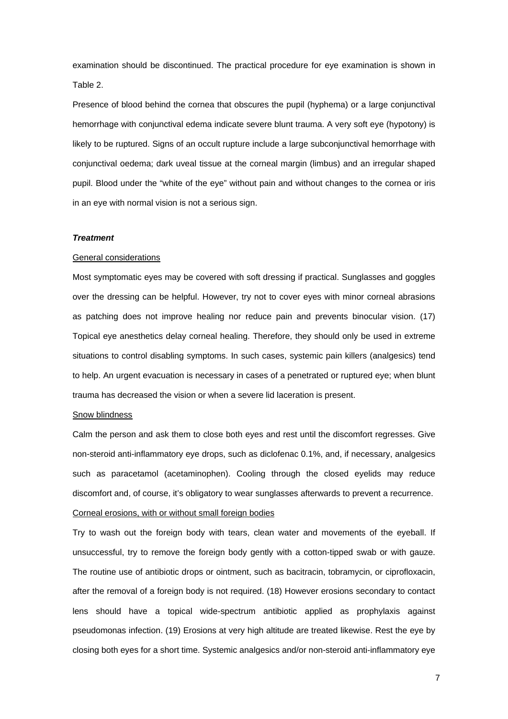examination should be discontinued. The practical procedure for eye examination is shown in Table 2.

Presence of blood behind the cornea that obscures the pupil (hyphema) or a large conjunctival hemorrhage with conjunctival edema indicate severe blunt trauma. A very soft eye (hypotony) is likely to be ruptured. Signs of an occult rupture include a large subconjunctival hemorrhage with conjunctival oedema; dark uveal tissue at the corneal margin (limbus) and an irregular shaped pupil. Blood under the "white of the eye" without pain and without changes to the cornea or iris in an eye with normal vision is not a serious sign.

# *Treatment*

## General considerations

Most symptomatic eyes may be covered with soft dressing if practical. Sunglasses and goggles over the dressing can be helpful. However, try not to cover eyes with minor corneal abrasions as patching does not improve healing nor reduce pain and prevents binocular vision. (17) Topical eye anesthetics delay corneal healing. Therefore, they should only be used in extreme situations to control disabling symptoms. In such cases, systemic pain killers (analgesics) tend to help. An urgent evacuation is necessary in cases of a penetrated or ruptured eye; when blunt trauma has decreased the vision or when a severe lid laceration is present.

## Snow blindness

Calm the person and ask them to close both eyes and rest until the discomfort regresses. Give non-steroid anti-inflammatory eye drops, such as diclofenac 0.1%, and, if necessary, analgesics such as paracetamol (acetaminophen). Cooling through the closed eyelids may reduce discomfort and, of course, it's obligatory to wear sunglasses afterwards to prevent a recurrence. Corneal erosions, with or without small foreign bodies

Try to wash out the foreign body with tears, clean water and movements of the eyeball. If unsuccessful, try to remove the foreign body gently with a cotton-tipped swab or with gauze. The routine use of antibiotic drops or ointment, such as bacitracin, tobramycin, or ciprofloxacin, after the removal of a foreign body is not required. (18) However erosions secondary to contact lens should have a topical wide-spectrum antibiotic applied as prophylaxis against pseudomonas infection. (19) Erosions at very high altitude are treated likewise. Rest the eye by closing both eyes for a short time. Systemic analgesics and/or non-steroid anti-inflammatory eye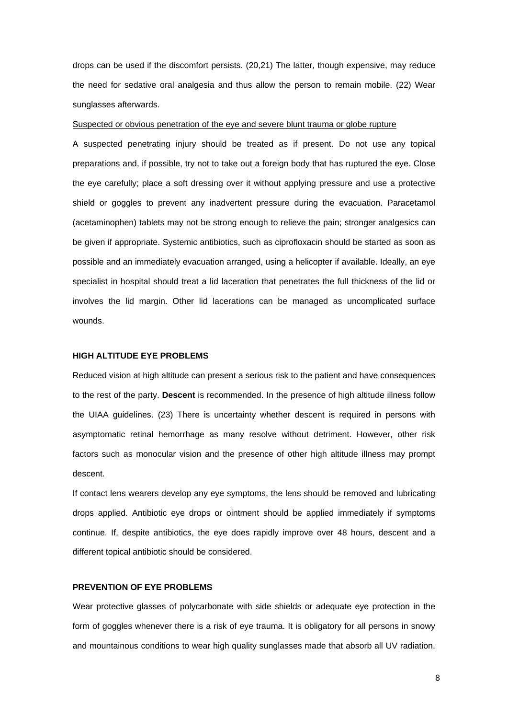drops can be used if the discomfort persists. (20,21) The latter, though expensive, may reduce the need for sedative oral analgesia and thus allow the person to remain mobile. (22) Wear sunglasses afterwards.

#### Suspected or obvious penetration of the eye and severe blunt trauma or globe rupture

A suspected penetrating injury should be treated as if present. Do not use any topical preparations and, if possible, try not to take out a foreign body that has ruptured the eye. Close the eye carefully; place a soft dressing over it without applying pressure and use a protective shield or goggles to prevent any inadvertent pressure during the evacuation. Paracetamol (acetaminophen) tablets may not be strong enough to relieve the pain; stronger analgesics can be given if appropriate. Systemic antibiotics, such as ciprofloxacin should be started as soon as possible and an immediately evacuation arranged, using a helicopter if available. Ideally, an eye specialist in hospital should treat a lid laceration that penetrates the full thickness of the lid or involves the lid margin. Other lid lacerations can be managed as uncomplicated surface wounds.

## **HIGH ALTITUDE EYE PROBLEMS**

Reduced vision at high altitude can present a serious risk to the patient and have consequences to the rest of the party. **Descent** is recommended. In the presence of high altitude illness follow the UIAA guidelines. (23) There is uncertainty whether descent is required in persons with asymptomatic retinal hemorrhage as many resolve without detriment. However, other risk factors such as monocular vision and the presence of other high altitude illness may prompt descent.

If contact lens wearers develop any eye symptoms, the lens should be removed and lubricating drops applied. Antibiotic eye drops or ointment should be applied immediately if symptoms continue. If, despite antibiotics, the eye does rapidly improve over 48 hours, descent and a different topical antibiotic should be considered.

# **PREVENTION OF EYE PROBLEMS**

Wear protective glasses of polycarbonate with side shields or adequate eye protection in the form of goggles whenever there is a risk of eye trauma. It is obligatory for all persons in snowy and mountainous conditions to wear high quality sunglasses made that absorb all UV radiation.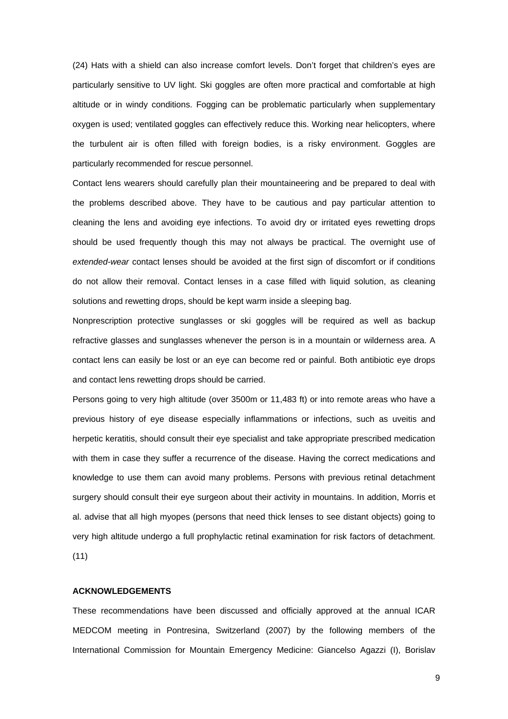(24) Hats with a shield can also increase comfort levels. Don't forget that children's eyes are particularly sensitive to UV light. Ski goggles are often more practical and comfortable at high altitude or in windy conditions. Fogging can be problematic particularly when supplementary oxygen is used; ventilated goggles can effectively reduce this. Working near helicopters, where the turbulent air is often filled with foreign bodies, is a risky environment. Goggles are particularly recommended for rescue personnel.

Contact lens wearers should carefully plan their mountaineering and be prepared to deal with the problems described above. They have to be cautious and pay particular attention to cleaning the lens and avoiding eye infections. To avoid dry or irritated eyes rewetting drops should be used frequently though this may not always be practical. The overnight use of *extended-wear* contact lenses should be avoided at the first sign of discomfort or if conditions do not allow their removal. Contact lenses in a case filled with liquid solution, as cleaning solutions and rewetting drops, should be kept warm inside a sleeping bag.

Nonprescription protective sunglasses or ski goggles will be required as well as backup refractive glasses and sunglasses whenever the person is in a mountain or wilderness area. A contact lens can easily be lost or an eye can become red or painful. Both antibiotic eye drops and contact lens rewetting drops should be carried.

Persons going to very high altitude (over 3500m or 11,483 ft) or into remote areas who have a previous history of eye disease especially inflammations or infections, such as uveitis and herpetic keratitis, should consult their eye specialist and take appropriate prescribed medication with them in case they suffer a recurrence of the disease. Having the correct medications and knowledge to use them can avoid many problems. Persons with previous retinal detachment surgery should consult their eye surgeon about their activity in mountains. In addition, Morris et al. advise that all high myopes (persons that need thick lenses to see distant objects) going to very high altitude undergo a full prophylactic retinal examination for risk factors of detachment. (11)

# **ACKNOWLEDGEMENTS**

These recommendations have been discussed and officially approved at the annual ICAR MEDCOM meeting in Pontresina, Switzerland (2007) by the following members of the International Commission for Mountain Emergency Medicine: Giancelso Agazzi (I), Borislav

9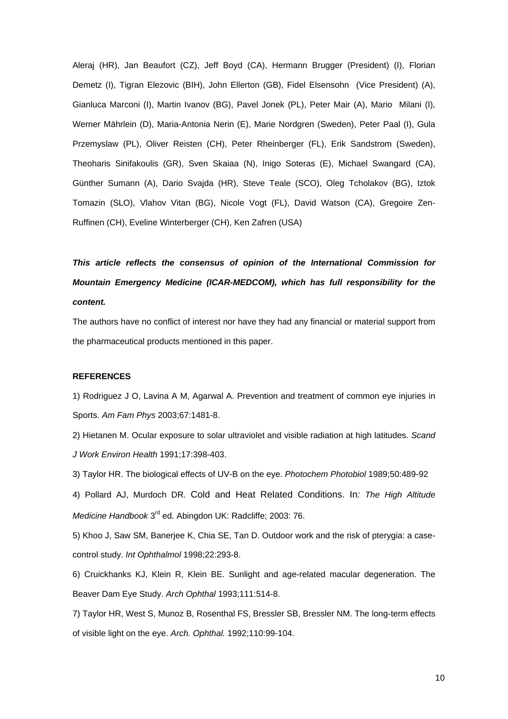Aleraj (HR), Jan Beaufort (CZ), Jeff Boyd (CA), Hermann Brugger (President) (I), Florian Demetz (I), Tigran Elezovic (BIH), John Ellerton (GB), Fidel Elsensohn (Vice President) (A), Gianluca Marconi (I), Martin Ivanov (BG), Pavel Jonek (PL), Peter Mair (A), Mario Milani (I), Werner Mährlein (D), Maria-Antonia Nerin (E), Marie Nordgren (Sweden), Peter Paal (I), Gula Przemyslaw (PL), Oliver Reisten (CH), Peter Rheinberger (FL), Erik Sandstrom (Sweden), Theoharis Sinifakoulis (GR), Sven Skaiaa (N), Inigo Soteras (E), Michael Swangard (CA), Günther Sumann (A), Dario Svajda (HR), Steve Teale (SCO), Oleg Tcholakov (BG), Iztok Tomazin (SLO), Vlahov Vitan (BG), Nicole Vogt (FL), David Watson (CA), Gregoire Zen-Ruffinen (CH), Eveline Winterberger (CH), Ken Zafren (USA)

*This article reflects the consensus of opinion of the International Commission for Mountain Emergency Medicine (ICAR-MEDCOM), which has full responsibility for the content.* 

The authors have no conflict of interest nor have they had any financial or material support from the pharmaceutical products mentioned in this paper.

# **REFERENCES**

1) Rodriguez J O, Lavina A M, Agarwal A. Prevention and treatment of common eye injuries in Sports. *Am Fam Phys* 2003;67:1481-8.

2) Hietanen M. Ocular exposure to solar ultraviolet and visible radiation at high latitudes. *Scand J Work Environ Health* 1991;17:398-403.

3) Taylor HR. The biological effects of UV-B on the eye. *Photochem Photobiol* 1989;50:489-92

4) Pollard AJ, Murdoch DR. Cold and Heat Related Conditions. In*: The High Altitude Medicine Handbook* 3rd ed. Abingdon UK: Radcliffe; 2003: 76.

5) Khoo J, Saw SM, Banerjee K, Chia SE, Tan D. Outdoor work and the risk of pterygia: a casecontrol study. *Int Ophthalmol* 1998;22:293-8.

6) Cruickhanks KJ, Klein R, Klein BE. Sunlight and age-related macular degeneration. The Beaver Dam Eye Study. *Arch Ophthal* 1993;111:514-8.

7) Taylor HR, West S, Munoz B, Rosenthal FS, Bressler SB, Bressler NM. The long-term effects of visible light on the eye. *Arch. Ophthal.* 1992;110:99-104.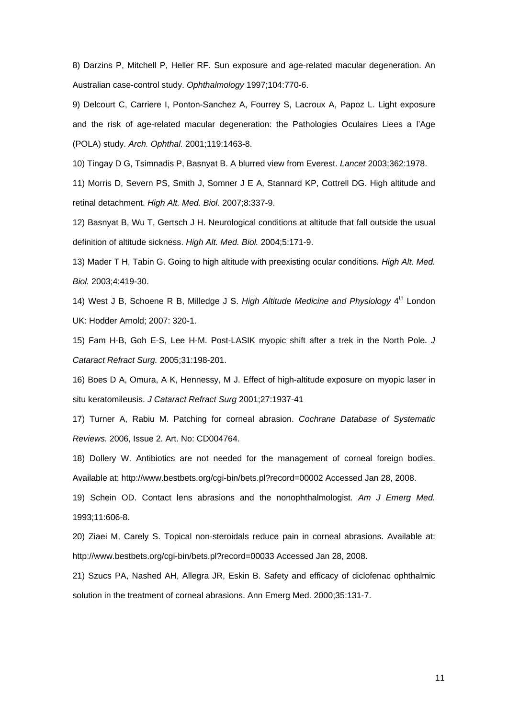8) Darzins P, Mitchell P, Heller RF. Sun exposure and age-related macular degeneration. An Australian case-control study. *Ophthalmology* 1997;104:770-6.

9) Delcourt C, Carriere I, Ponton-Sanchez A, Fourrey S, Lacroux A, Papoz L. Light exposure and the risk of age-related macular degeneration: the Pathologies Oculaires Liees a l'Age (POLA) study. *Arch. Ophthal.* 2001;119:1463-8.

10) Tingay D G, Tsimnadis P, Basnyat B. A blurred view from Everest. *Lancet* 2003;362:1978.

11) Morris D, Severn PS, Smith J, Somner J E A, Stannard KP, Cottrell DG. High altitude and retinal detachment. *High Alt. Med. Biol.* 2007;8:337-9.

12) Basnyat B, Wu T, Gertsch J H. Neurological conditions at altitude that fall outside the usual definition of altitude sickness. *High Alt. Med. Biol.* 2004;5:171-9.

13) Mader T H, Tabin G. Going to high altitude with preexisting ocular conditions*. High Alt. Med. Biol.* 2003;4:419-30.

14) West J B, Schoene R B, Milledge J S. *High Altitude Medicine and Physiology* 4th London UK: Hodder Arnold; 2007: 320-1.

15) Fam H-B, Goh E-S, Lee H-M. Post-LASIK myopic shift after a trek in the North Pole. *J Cataract Refract Surg.* 2005;31:198-201.

16) Boes D A, Omura, A K, Hennessy, M J. Effect of high-altitude exposure on myopic laser in situ keratomileusis. *J Cataract Refract Surg* 2001;27:1937-41

17) Turner A, Rabiu M. Patching for corneal abrasion. *Cochrane Database of Systematic Reviews.* 2006, Issue 2. Art. No: CD004764.

18) Dollery W. Antibiotics are not needed for the management of corneal foreign bodies. Available at: http://www.bestbets.org/cgi-bin/bets.pl?record=00002 Accessed Jan 28, 2008.

19) Schein OD. Contact lens abrasions and the nonophthalmologist. *Am J Emerg Med.* 1993;11:606-8.

20) Ziaei M, Carely S. Topical non-steroidals reduce pain in corneal abrasions. Available at: http://www.bestbets.org/cgi-bin/bets.pl?record=00033 Accessed Jan 28, 2008.

21) Szucs PA, Nashed AH, Allegra JR, Eskin B. Safety and efficacy of diclofenac ophthalmic solution in the treatment of corneal abrasions. Ann Emerg Med. 2000;35:131-7.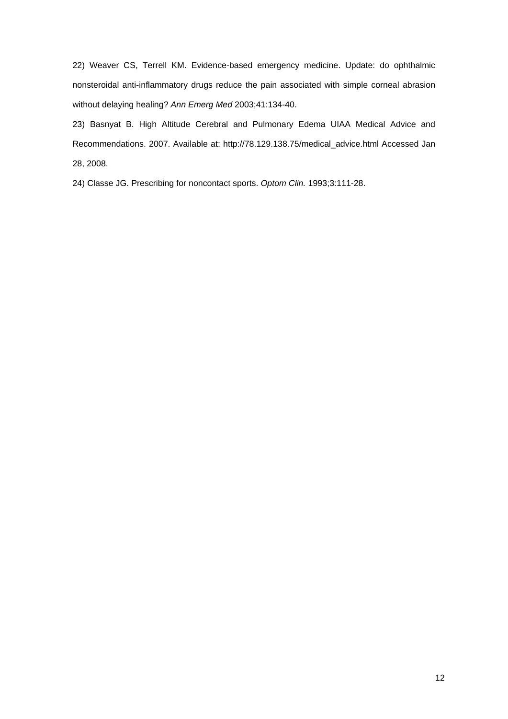22) Weaver CS, Terrell KM. Evidence-based emergency medicine. Update: do ophthalmic nonsteroidal anti-inflammatory drugs reduce the pain associated with simple corneal abrasion without delaying healing? *Ann Emerg Med* 2003;41:134-40.

23) Basnyat B. High Altitude Cerebral and Pulmonary Edema UIAA Medical Advice and Recommendations. 2007. Available at: [http://78.129.138.75/medical\\_advice.html Accessed Jan](http://78.129.138.75/medical_advice.html%20accessed%20Jan%202008)  [28, 2008](http://78.129.138.75/medical_advice.html%20accessed%20Jan%202008).

24) Classe JG. Prescribing for noncontact sports. *Optom Clin.* 1993;3:111-28.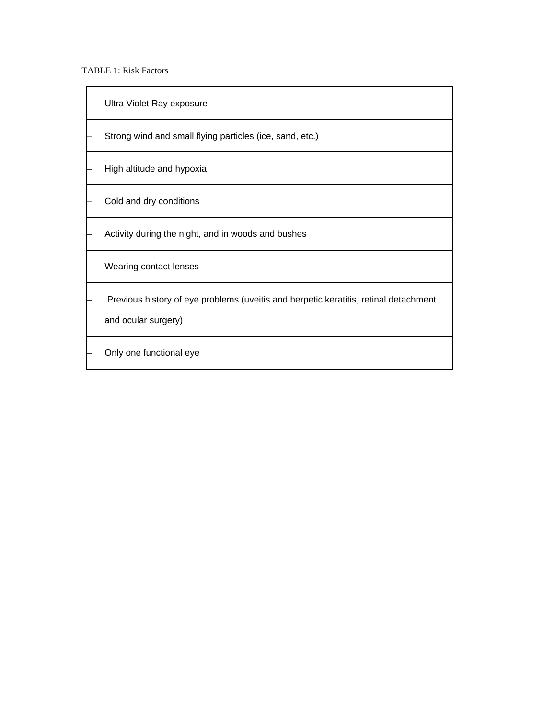TABLE 1: Risk Factors

| Ultra Violet Ray exposure                                                                                   |
|-------------------------------------------------------------------------------------------------------------|
| Strong wind and small flying particles (ice, sand, etc.)                                                    |
| High altitude and hypoxia                                                                                   |
| Cold and dry conditions                                                                                     |
| Activity during the night, and in woods and bushes                                                          |
| Wearing contact lenses                                                                                      |
| Previous history of eye problems (uveitis and herpetic keratitis, retinal detachment<br>and ocular surgery) |
| Only one functional eye                                                                                     |